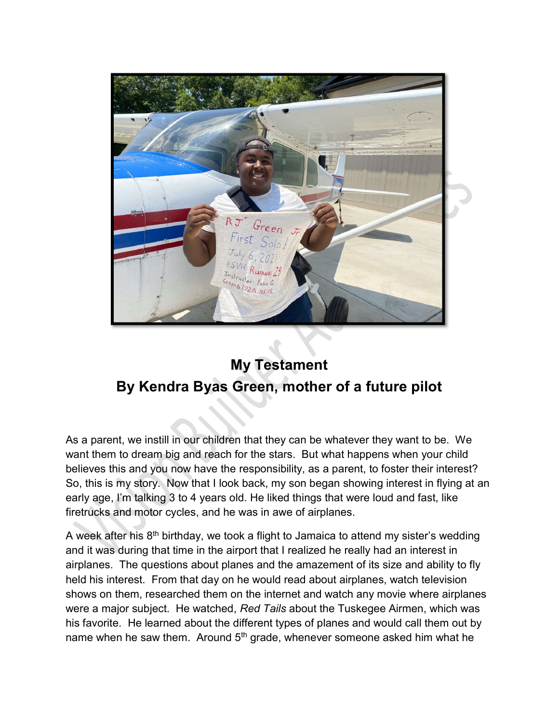

## My Testament By Kendra Byas Green, mother of a future pilot

As a parent, we instill in our children that they can be whatever they want to be. We want them to dream big and reach for the stars. But what happens when your child believes this and you now have the responsibility, as a parent, to foster their interest? So, this is my story. Now that I look back, my son began showing interest in flying at an early age, I'm talking 3 to 4 years old. He liked things that were loud and fast, like firetrucks and motor cycles, and he was in awe of airplanes.

A week after his  $8<sup>th</sup>$  birthday, we took a flight to Jamaica to attend my sister's wedding and it was during that time in the airport that I realized he really had an interest in airplanes. The questions about planes and the amazement of its size and ability to fly held his interest. From that day on he would read about airplanes, watch television shows on them, researched them on the internet and watch any movie where airplanes were a major subject. He watched, Red Tails about the Tuskegee Airmen, which was his favorite. He learned about the different types of planes and would call them out by name when he saw them. Around 5<sup>th</sup> grade, whenever someone asked him what he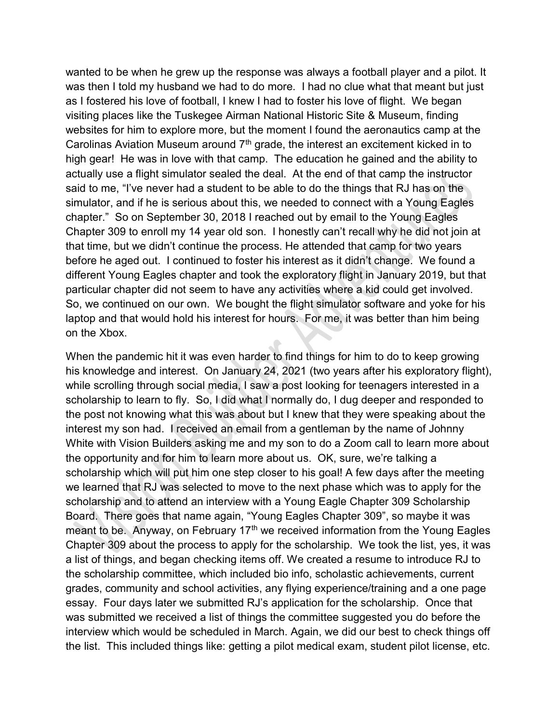wanted to be when he grew up the response was always a football player and a pilot. It was then I told my husband we had to do more. I had no clue what that meant but just as I fostered his love of football, I knew I had to foster his love of flight. We began visiting places like the Tuskegee Airman National Historic Site & Museum, finding websites for him to explore more, but the moment I found the aeronautics camp at the Carolinas Aviation Museum around 7<sup>th</sup> grade, the interest an excitement kicked in to high gear! He was in love with that camp. The education he gained and the ability to actually use a flight simulator sealed the deal. At the end of that camp the instructor said to me, "I've never had a student to be able to do the things that RJ has on the simulator, and if he is serious about this, we needed to connect with a Young Eagles chapter." So on September 30, 2018 I reached out by email to the Young Eagles Chapter 309 to enroll my 14 year old son. I honestly can't recall why he did not join at that time, but we didn't continue the process. He attended that camp for two years before he aged out. I continued to foster his interest as it didn't change. We found a different Young Eagles chapter and took the exploratory flight in January 2019, but that particular chapter did not seem to have any activities where a kid could get involved. So, we continued on our own. We bought the flight simulator software and yoke for his laptop and that would hold his interest for hours. For me, it was better than him being on the Xbox.

When the pandemic hit it was even harder to find things for him to do to keep growing his knowledge and interest. On January 24, 2021 (two years after his exploratory flight), while scrolling through social media, I saw a post looking for teenagers interested in a scholarship to learn to fly. So, I did what I normally do, I dug deeper and responded to the post not knowing what this was about but I knew that they were speaking about the interest my son had. I received an email from a gentleman by the name of Johnny White with Vision Builders asking me and my son to do a Zoom call to learn more about the opportunity and for him to learn more about us. OK, sure, we're talking a scholarship which will put him one step closer to his goal! A few days after the meeting we learned that RJ was selected to move to the next phase which was to apply for the scholarship and to attend an interview with a Young Eagle Chapter 309 Scholarship Board. There goes that name again, "Young Eagles Chapter 309", so maybe it was meant to be. Anyway, on February  $17<sup>th</sup>$  we received information from the Young Eagles Chapter 309 about the process to apply for the scholarship. We took the list, yes, it was a list of things, and began checking items off. We created a resume to introduce RJ to the scholarship committee, which included bio info, scholastic achievements, current grades, community and school activities, any flying experience/training and a one page essay. Four days later we submitted RJ's application for the scholarship. Once that was submitted we received a list of things the committee suggested you do before the interview which would be scheduled in March. Again, we did our best to check things off the list. This included things like: getting a pilot medical exam, student pilot license, etc.